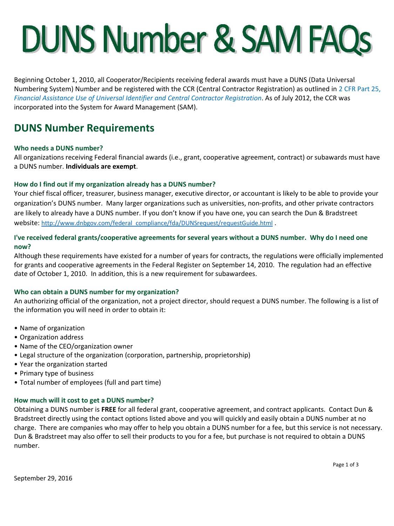# **DUNS Number & SAM FAQs**

Beginning October 1, 2010, all Cooperator/Recipients receiving federal awards must have a DUNS (Data Universal Numbering System) Number and be registered with the CCR (Central Contractor Registration) as outlined in [2 CFR Part 25,](http://edocket.access.gpo.gov/2010/pdf/2010-22706.pdf)  *[Financial Assistance Use of Universal Identifier and Central Contractor Registration](http://edocket.access.gpo.gov/2010/pdf/2010-22706.pdf)*. As of July 2012, the CCR was incorporated into the System for Award Management (SAM).

# **DUNS Number Requirements**

# **Who needs a DUNS number?**

All organizations receiving Federal financial awards (i.e., grant, cooperative agreement, contract) or subawards must have a DUNS number. **Individuals are exempt**.

# **How do I find out if my organization already has a DUNS number?**

Your chief fiscal officer, treasurer, business manager, executive director, or accountant is likely to be able to provide your organization's DUNS number. Many larger organizations such as universities, non-profits, and other private contractors are likely to already have a DUNS number. If you don't know if you have one, you can search the Dun & Bradstreet website: [http://www.dnbgov.com/federal\\_compliance/fda/DUNSrequest/requestGuide.html](http://www.dnbgov.com/federal_compliance/fda/DUNSrequest/requestGuide.html) .

# **I've received federal grants/cooperative agreements for several years without a DUNS number. Why do I need one now?**

Although these requirements have existed for a number of years for contracts, the regulations were officially implemented for grants and cooperative agreements in the Federal Register on September 14, 2010. The regulation had an effective date of October 1, 2010. In addition, this is a new requirement for subawardees.

# **Who can obtain a DUNS number for my organization?**

An authorizing official of the organization, not a project director, should request a DUNS number. The following is a list of the information you will need in order to obtain it:

- Name of organization
- Organization address
- Name of the CEO/organization owner
- Legal structure of the organization (corporation, partnership, proprietorship)
- Year the organization started
- Primary type of business
- Total number of employees (full and part time)

## **How much will it cost to get a DUNS number?**

Obtaining a DUNS number is **FREE** for all federal grant, cooperative agreement, and contract applicants. Contact Dun & Bradstreet directly using the contact options listed above and you will quickly and easily obtain a DUNS number at no charge. There are companies who may offer to help you obtain a DUNS number for a fee, but this service is not necessary. Dun & Bradstreet may also offer to sell their products to you for a fee, but purchase is not required to obtain a DUNS number.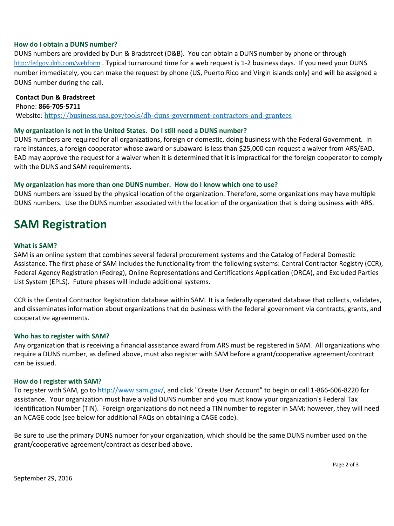## **How do I obtain a DUNS number?**

DUNS numbers are provided by Dun & Bradstreet (D&B). You can obtain a DUNS number by phone or through <http://fedgov.dnb.com/webform> . Typical turnaround time for a web request is 1-2 business days. If you need your DUNS number immediately, you can make the request by phone (US, Puerto Rico and Virgin islands only) and will be assigned a DUNS number during the call.

#### **Contact Dun & Bradstreet**

Phone: **866-705-5711** Website: <https://business.usa.gov/tools/db-duns-government-contractors-and-grantees>

#### **My organization is not in the United States. Do I still need a DUNS number?**

DUNS numbers are required for all organizations, foreign or domestic, doing business with the Federal Government. In rare instances, a foreign cooperator whose award or subaward is less than \$25,000 can request a waiver from ARS/EAD. EAD may approve the request for a waiver when it is determined that it is impractical for the foreign cooperator to comply with the DUNS and SAM requirements.

#### **My organization has more than one DUNS number. How do I know which one to use?**

DUNS numbers are issued by the physical location of the organization. Therefore, some organizations may have multiple DUNS numbers. Use the DUNS number associated with the location of the organization that is doing business with ARS.

# **SAM Registration**

#### **What is SAM?**

SAM is an online system that combines several federal procurement systems and the Catalog of Federal Domestic Assistance. The first phase of SAM includes the functionality from the following systems: Central Contractor Registry (CCR), Federal Agency Registration (Fedreg), Online Representations and Certifications Application (ORCA), and Excluded Parties List System (EPLS). Future phases will include additional systems.

CCR is the Central Contractor Registration database within SAM. It is a federally operated database that collects, validates, and disseminates information about organizations that do business with the federal government via contracts, grants, and cooperative agreements.

#### **Who has to register with SAM?**

Any organization that is receiving a financial assistance award from ARS must be registered in SAM. All organizations who require a DUNS number, as defined above, must also register with SAM before a grant/cooperative agreement/contract can be issued.

#### **How do I register with SAM?**

To register with SAM, go to [http://www.sam.gov/,](http://www.sam.gov/) and click "Create User Account" to begin or call 1-866-606-8220 for assistance. Your organization must have a valid DUNS number and you must know your organization's Federal Tax Identification Number (TIN). Foreign organizations do not need a TIN number to register in SAM; however, they will need an NCAGE code (see below for additional FAQs on obtaining a CAGE code).

Be sure to use the primary DUNS number for your organization, which should be the same DUNS number used on the grant/cooperative agreement/contract as described above.